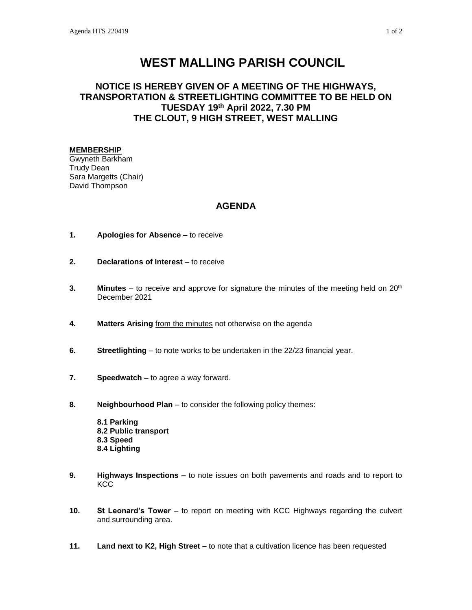## **WEST MALLING PARISH COUNCIL**

## **NOTICE IS HEREBY GIVEN OF A MEETING OF THE HIGHWAYS, TRANSPORTATION & STREETLIGHTING COMMITTEE TO BE HELD ON TUESDAY 19th April 2022, 7.30 PM THE CLOUT, 9 HIGH STREET, WEST MALLING**

## **MEMBERSHIP**

Gwyneth Barkham Trudy Dean Sara Margetts (Chair) David Thompson

## **AGENDA**

- **1. Apologies for Absence –** to receive
- **2. Declarations of Interest** to receive
- **3. Minutes** to receive and approve for signature the minutes of the meeting held on 20<sup>th</sup> December 2021
- **4. Matters Arising** from the minutes not otherwise on the agenda
- **6. Streetlighting** to note works to be undertaken in the 22/23 financial year.
- **7. Speedwatch –** to agree a way forward.
- **8. Neighbourhood Plan** to consider the following policy themes:

**8.1 Parking 8.2 Public transport 8.3 Speed 8.4 Lighting**

- **9. Highways Inspections –** to note issues on both pavements and roads and to report to **KCC**
- **10. St Leonard's Tower** to report on meeting with KCC Highways regarding the culvert and surrounding area.
- **11. Land next to K2, High Street –** to note that a cultivation licence has been requested